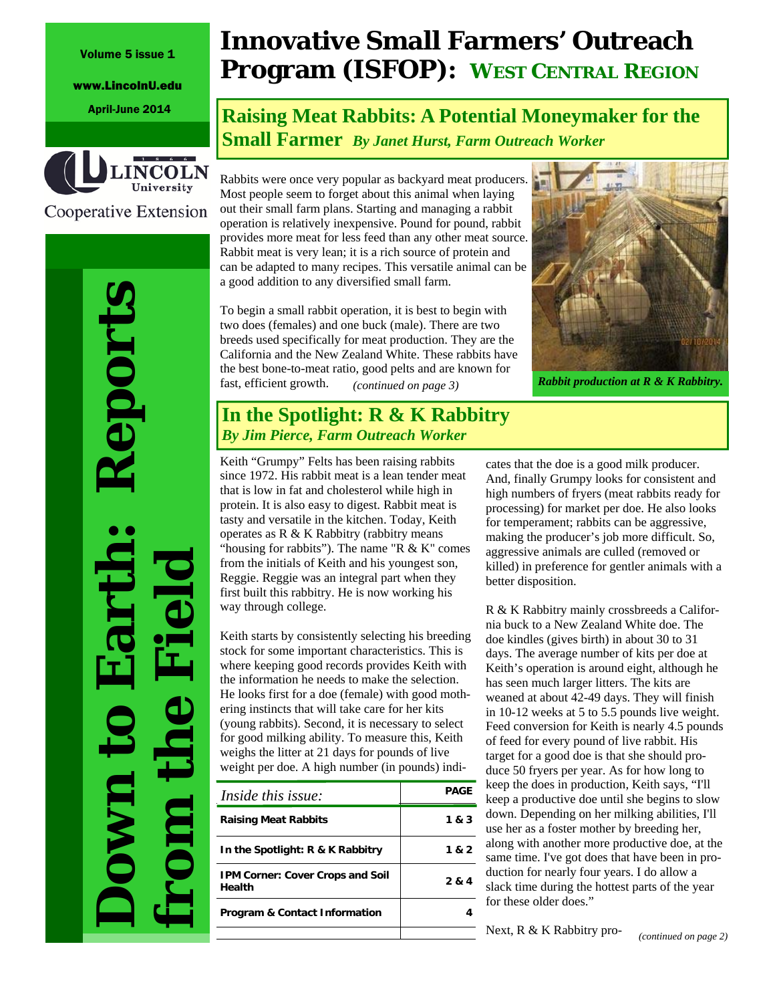www.LincolnU.edu



Cooperative Extension

eport

**Down to Earth: Reports from the Field**

**Innovative Small Farmers' Outreach Program (ISFOP): WEST CENTRAL REGION**

April-June 2014 **Raising Meat Rabbits: A Potential Moneymaker for the Small Farmer** *By Janet Hurst, Farm Outreach Worker*

> Rabbits were once very popular as backyard meat producers. Most people seem to forget about this animal when laying out their small farm plans. Starting and managing a rabbit operation is relatively inexpensive. Pound for pound, rabbit provides more meat for less feed than any other meat source. Rabbit meat is very lean; it is a rich source of protein and can be adapted to many recipes. This versatile animal can be a good addition to any diversified small farm.

To begin a small rabbit operation, it is best to begin with two does (females) and one buck (male). There are two breeds used specifically for meat production. They are the California and the New Zealand White. These rabbits have the best bone-to-meat ratio, good pelts and are known for fast, efficient growth. *Rabbit production at R & K Rabbitry. (continued on page 3)* 



### **In the Spotlight: R & K Rabbitry** *By Jim Pierce, Farm Outreach Worker*

Keith "Grumpy" Felts has been raising rabbits since 1972. His rabbit meat is a lean tender meat that is low in fat and cholesterol while high in protein. It is also easy to digest. Rabbit meat is tasty and versatile in the kitchen. Today, Keith operates as R & K Rabbitry (rabbitry means "housing for rabbits"). The name "R  $&$  K" comes from the initials of Keith and his youngest son, Reggie. Reggie was an integral part when they first built this rabbitry. He is now working his way through college.

Keith starts by consistently selecting his breeding stock for some important characteristics. This is where keeping good records provides Keith with the information he needs to make the selection. He looks first for a doe (female) with good mothering instincts that will take care for her kits (young rabbits). Second, it is necessary to select for good milking ability. To measure this, Keith weighs the litter at 21 days for pounds of live weight per doe. A high number (in pounds) indi-

| Inside this issue:                                | <b>PAGE</b> |
|---------------------------------------------------|-------------|
| <b>Raising Meat Rabbits</b>                       | 1 & 3       |
| In the Spotlight: R & K Rabbitry                  | 1 & 2       |
| <b>IPM Corner: Cover Crops and Soil</b><br>Health | 2 & 4       |
| <b>Program &amp; Contact Information</b>          |             |
|                                                   |             |

cates that the doe is a good milk producer. And, finally Grumpy looks for consistent and high numbers of fryers (meat rabbits ready for processing) for market per doe. He also looks for temperament; rabbits can be aggressive, making the producer's job more difficult. So, aggressive animals are culled (removed or killed) in preference for gentler animals with a better disposition.

R & K Rabbitry mainly crossbreeds a California buck to a New Zealand White doe. The doe kindles (gives birth) in about 30 to 31 days. The average number of kits per doe at Keith's operation is around eight, although he has seen much larger litters. The kits are weaned at about 42-49 days. They will finish in 10-12 weeks at 5 to 5.5 pounds live weight. Feed conversion for Keith is nearly 4.5 pounds of feed for every pound of live rabbit. His target for a good doe is that she should produce 50 fryers per year. As for how long to keep the does in production, Keith says, "I'll keep a productive doe until she begins to slow down. Depending on her milking abilities, I'll use her as a foster mother by breeding her, along with another more productive doe, at the same time. I've got does that have been in production for nearly four years. I do allow a slack time during the hottest parts of the year for these older does."

Next, R & K Rabbitry pro-

*(continued on page 2)*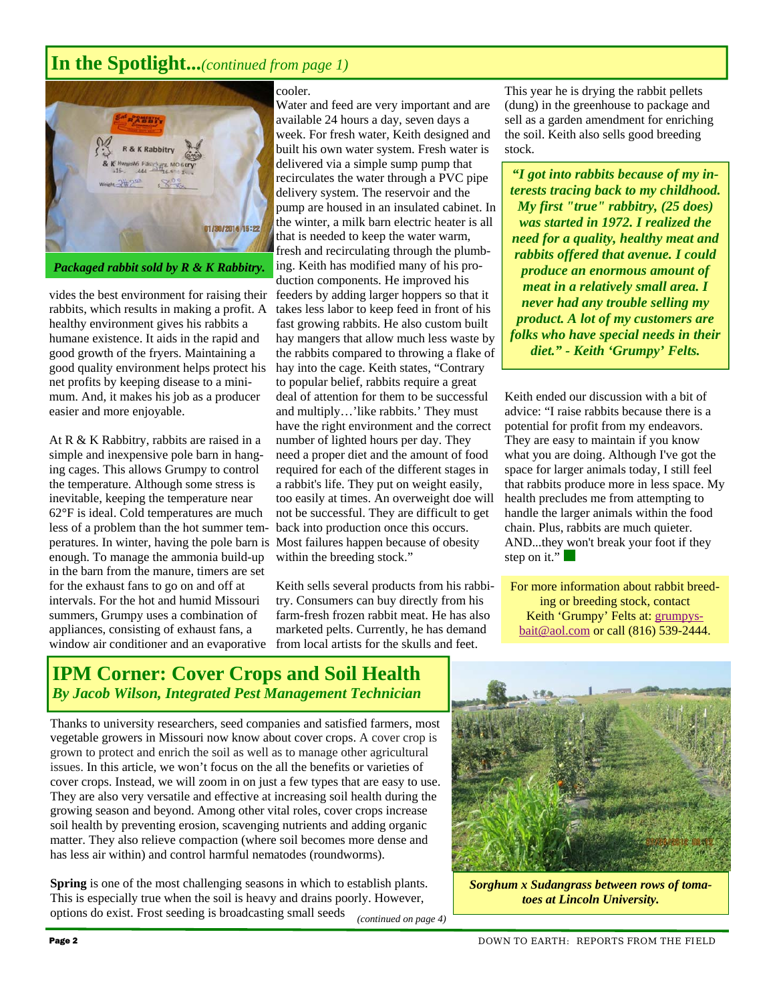## **In the Spotlight...***(continued from page 1)*



vides the best environment for raising their rabbits, which results in making a profit. A healthy environment gives his rabbits a humane existence. It aids in the rapid and good growth of the fryers. Maintaining a good quality environment helps protect his net profits by keeping disease to a minimum. And, it makes his job as a producer easier and more enjoyable.

At R & K Rabbitry, rabbits are raised in a simple and inexpensive pole barn in hanging cages. This allows Grumpy to control the temperature. Although some stress is inevitable, keeping the temperature near 62°F is ideal. Cold temperatures are much less of a problem than the hot summer temperatures. In winter, having the pole barn is enough. To manage the ammonia build-up in the barn from the manure, timers are set for the exhaust fans to go on and off at intervals. For the hot and humid Missouri summers, Grumpy uses a combination of appliances, consisting of exhaust fans, a window air conditioner and an evaporative

#### cooler.

Water and feed are very important and are available 24 hours a day, seven days a week. For fresh water, Keith designed and built his own water system. Fresh water is delivered via a simple sump pump that recirculates the water through a PVC pipe delivery system. The reservoir and the pump are housed in an insulated cabinet. In the winter, a milk barn electric heater is all that is needed to keep the water warm, fresh and recirculating through the plumbing. Keith has modified many of his production components. He improved his feeders by adding larger hoppers so that it takes less labor to keep feed in front of his fast growing rabbits. He also custom built hay mangers that allow much less waste by the rabbits compared to throwing a flake of hay into the cage. Keith states, "Contrary to popular belief, rabbits require a great deal of attention for them to be successful and multiply…'like rabbits.' They must have the right environment and the correct number of lighted hours per day. They need a proper diet and the amount of food required for each of the different stages in a rabbit's life. They put on weight easily, too easily at times. An overweight doe will not be successful. They are difficult to get back into production once this occurs. Most failures happen because of obesity within the breeding stock."

Keith sells several products from his rabbitry. Consumers can buy directly from his farm-fresh frozen rabbit meat. He has also marketed pelts. Currently, he has demand from local artists for the skulls and feet.

This year he is drying the rabbit pellets (dung) in the greenhouse to package and sell as a garden amendment for enriching the soil. Keith also sells good breeding stock.

*"I got into rabbits because of my interests tracing back to my childhood. My first "true" rabbitry, (25 does) was started in 1972. I realized the need for a quality, healthy meat and rabbits offered that avenue. I could produce an enormous amount of meat in a relatively small area. I never had any trouble selling my product. A lot of my customers are folks who have special needs in their diet." - Keith 'Grumpy' Felts.* 

Keith ended our discussion with a bit of advice: "I raise rabbits because there is a potential for profit from my endeavors. They are easy to maintain if you know what you are doing. Although I've got the space for larger animals today, I still feel that rabbits produce more in less space. My health precludes me from attempting to handle the larger animals within the food chain. Plus, rabbits are much quieter. AND...they won't break your foot if they step on it."

For more information about rabbit breeding or breeding stock, contact Keith 'Grumpy' Felts at: grumpysbait@aol.com or call (816) 539-2444.

### **IPM Corner: Cover Crops and Soil Health**  *By Jacob Wilson, Integrated Pest Management Technician*

Thanks to university researchers, seed companies and satisfied farmers, most vegetable growers in Missouri now know about cover crops. A cover crop is grown to protect and enrich the soil as well as to manage other agricultural issues. In this article, we won't focus on the all the benefits or varieties of cover crops. Instead, we will zoom in on just a few types that are easy to use. They are also very versatile and effective at increasing soil health during the growing season and beyond. Among other vital roles, cover crops increase soil health by preventing erosion, scavenging nutrients and adding organic matter. They also relieve compaction (where soil becomes more dense and has less air within) and control harmful nematodes (roundworms).

**Spring** is one of the most challenging seasons in which to establish plants. This is especially true when the soil is heavy and drains poorly. However, options do exist. Frost seeding is broadcasting small seeds *(continued on page 4)* 



*Sorghum x Sudangrass between rows of tomatoes at Lincoln University.*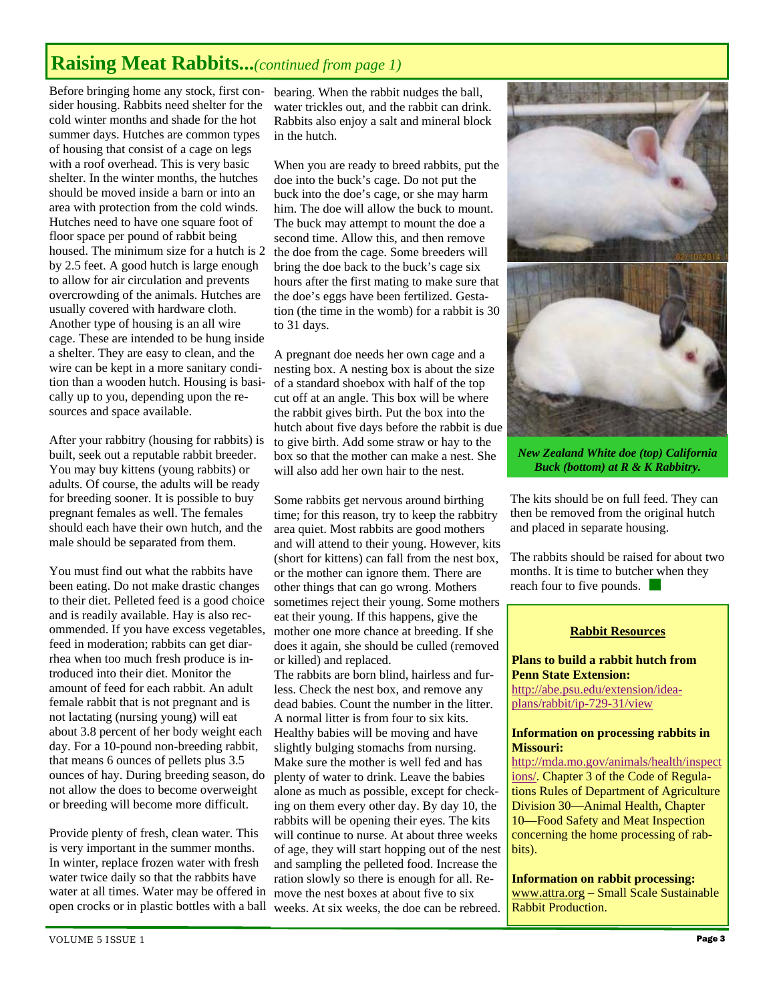# **Raising Meat Rabbits...***(continued from page 1)*

Before bringing home any stock, first consider housing. Rabbits need shelter for the cold winter months and shade for the hot summer days. Hutches are common types of housing that consist of a cage on legs with a roof overhead. This is very basic shelter. In the winter months, the hutches should be moved inside a barn or into an area with protection from the cold winds. Hutches need to have one square foot of floor space per pound of rabbit being housed. The minimum size for a hutch is 2 by 2.5 feet. A good hutch is large enough to allow for air circulation and prevents overcrowding of the animals. Hutches are usually covered with hardware cloth. Another type of housing is an all wire cage. These are intended to be hung inside a shelter. They are easy to clean, and the wire can be kept in a more sanitary condition than a wooden hutch. Housing is basically up to you, depending upon the resources and space available.

After your rabbitry (housing for rabbits) is built, seek out a reputable rabbit breeder. You may buy kittens (young rabbits) or adults. Of course, the adults will be ready for breeding sooner. It is possible to buy pregnant females as well. The females should each have their own hutch, and the male should be separated from them.

You must find out what the rabbits have been eating. Do not make drastic changes to their diet. Pelleted feed is a good choice and is readily available. Hay is also recommended. If you have excess vegetables, feed in moderation; rabbits can get diarrhea when too much fresh produce is introduced into their diet. Monitor the amount of feed for each rabbit. An adult female rabbit that is not pregnant and is not lactating (nursing young) will eat about 3.8 percent of her body weight each day. For a 10-pound non-breeding rabbit, that means 6 ounces of pellets plus 3.5 ounces of hay. During breeding season, do not allow the does to become overweight or breeding will become more difficult.

Provide plenty of fresh, clean water. This is very important in the summer months. In winter, replace frozen water with fresh water twice daily so that the rabbits have water at all times. Water may be offered in open crocks or in plastic bottles with a ball

bearing. When the rabbit nudges the ball, water trickles out, and the rabbit can drink. Rabbits also enjoy a salt and mineral block in the hutch.

When you are ready to breed rabbits, put the doe into the buck's cage. Do not put the buck into the doe's cage, or she may harm him. The doe will allow the buck to mount. The buck may attempt to mount the doe a second time. Allow this, and then remove the doe from the cage. Some breeders will bring the doe back to the buck's cage six hours after the first mating to make sure that the doe's eggs have been fertilized. Gestation (the time in the womb) for a rabbit is 30 to 31 days.

A pregnant doe needs her own cage and a nesting box. A nesting box is about the size of a standard shoebox with half of the top cut off at an angle. This box will be where the rabbit gives birth. Put the box into the hutch about five days before the rabbit is due to give birth. Add some straw or hay to the box so that the mother can make a nest. She will also add her own hair to the nest.

Some rabbits get nervous around birthing time; for this reason, try to keep the rabbitry area quiet. Most rabbits are good mothers and will attend to their young. However, kits (short for kittens) can fall from the nest box, or the mother can ignore them. There are other things that can go wrong. Mothers sometimes reject their young. Some mothers eat their young. If this happens, give the mother one more chance at breeding. If she does it again, she should be culled (removed or killed) and replaced. The rabbits are born blind, hairless and furless. Check the nest box, and remove any dead babies. Count the number in the litter. A normal litter is from four to six kits. Healthy babies will be moving and have

slightly bulging stomachs from nursing. Make sure the mother is well fed and has plenty of water to drink. Leave the babies alone as much as possible, except for checking on them every other day. By day 10, the rabbits will be opening their eyes. The kits will continue to nurse. At about three weeks of age, they will start hopping out of the nest and sampling the pelleted food. Increase the ration slowly so there is enough for all. Remove the nest boxes at about five to six weeks. At six weeks, the doe can be rebreed.



*New Zealand White doe (top) California Buck (bottom) at R & K Rabbitry.* 

The kits should be on full feed. They can then be removed from the original hutch and placed in separate housing.

The rabbits should be raised for about two months. It is time to butcher when they reach four to five pounds.

#### **Rabbit Resources**

**Plans to build a rabbit hutch from Penn State Extension:**  http://abe.psu.edu/extension/ideaplans/rabbit/ip-729-31/view

#### **Information on processing rabbits in Missouri:**

http://mda.mo.gov/animals/health/inspect ions/. Chapter 3 of the Code of Regulations Rules of Department of Agriculture Division 30—Animal Health, Chapter 10—Food Safety and Meat Inspection concerning the home processing of rabbits).

**Information on rabbit processing:**  www.attra.org – Small Scale Sustainable Rabbit Production.